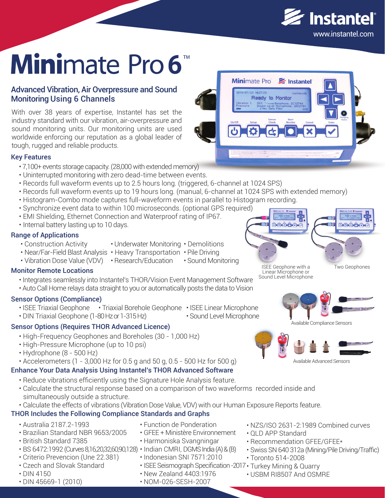

# Minimate Pro 6

### Advanced Vibration, Air Overpressure and Sound Monitoring Using 6 Channels

With over 38 years of expertise, Instantel has set the industry standard with our vibration, air-overpressure and sound monitoring units. Our monitoring units are used worldwide enforcing our reputation as a global leader of tough, rugged and reliable products.

#### Key Features

- 7,100+ events storage capacity. (28,000 with extended memory)
- Uninterrupted monitoring with zero dead-time between events.
- Records full waveform events up to 2.5 hours long. (triggered, 6-channel at 1024 SPS)
- Records full waveform events up to 19 hours long. (manual, 6-channel at 1024 SPS with extended memory)
- Histogram-Combo mode captures full-waveform events in parallel to Histogram recording.
- Synchronize event data to within 100 microseconds. (optional GPS required)
- EMI Shielding, Ethernet Connection and Waterproof rating of IP67.
- Internal battery lasting up to 10 days.

#### Range of Applications

- Construction Activity
- Underwater Monitoring Demolitions
- Near/Far-Field Blast Analysis Heavy Transportation Pile Driving
- Sound Monitoring • Vibration Dose Value (VDV) • Research/Education

#### Monitor Remote Locations

- Integrates seamlessly into Instantel's THOR/Vision Event Management Software
- Auto Call Home relays data straight to you or automatically posts the data to Vision

#### Sensor Options (Compliance)

- ISEE Triaxial Geophone Triaxial Borehole Geophone ISEE Linear Microphone
- DIN Triaxial Geophone (1-80 Hz or 1-315 Hz) • Sound Level Microphone

#### Sensor Options (Requires THOR Advanced Licence)

- High-Frequency Geophones and Boreholes (30 1,000 Hz)
- High-Pressure Microphone (up to 10 psi)
- Hydrophone (8 500 Hz)
- $\cdot$  Accelerometers (1 3,000 Hz for 0.5 g and 50 g, 0.5 500 Hz for 500 g)

#### Enhance Your Data Analysis Using Instantel's THOR Advanced Software

- Reduce vibrations efficiently using the Signature Hole Analysis feature.
- Calculate the structural response based on a comparison of two waveforms recorded inside and simultaneously outside a structure.
- Calculate the effects of vibrations (Vibration Dose Value, VDV) with our Human Exposure Reports feature.

#### THOR Includes the Following Compliance Standards and Graphs

- Australia 2187.2-1993
- Brazilian Standard NBR 9653/2005
- British Standard 7385
- BS 6472:1992 (Curves 8,16,20,32,60,90,128) Indian CMRI, DGMS India (A) & (B)
- Criterio Prevencion (Une 22.381)
- Czech and Slovak Standard
- DIN 4150
- DIN 45669-1 (2010)
- Function de Ponderation
- GFEE + Ministère Environnement
- Harmoniska Svangningar
- 
- Indonesian SNI 7571:2010
- ISEE Seismograph Specification -2017 Turkey Mining & Quarry
- New Zealand 4403:1976
- NOM-026-SESH-2007
- NZS/ISO 2631-2:1989 Combined curves
- QLD APP Standard
- Recommendation GFEE/GFEE\*
- Swiss SN 640 312a (Mining/Pile Driving/Traffic)
- Toronto 514-2008
- - USBM RI8507 And OSMRE





ISEE Geophone with a Linear Microphone or Sound Level Microphone Two Geophones



Available Compliance Sensors